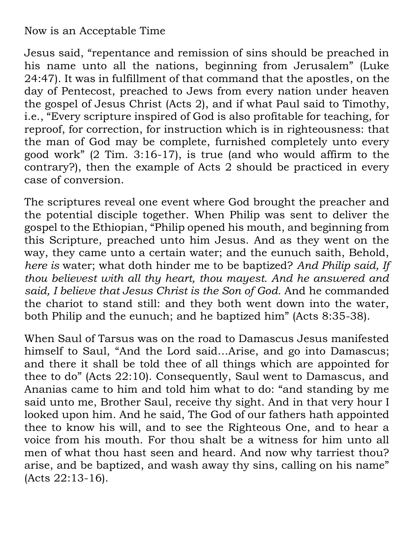## Now is an Acceptable Time

Jesus said, "repentance and remission of sins should be preached in his name unto all the nations, beginning from Jerusalem" (Luke 24:47). It was in fulfillment of that command that the apostles, on the day of Pentecost, preached to Jews from every nation under heaven the gospel of Jesus Christ (Acts 2), and if what Paul said to Timothy, i.e., "Every scripture inspired of God is also profitable for teaching, for reproof, for correction, for instruction which is in righteousness: that the man of God may be complete, furnished completely unto every good work" (2 Tim. 3:16-17), is true (and who would affirm to the contrary?), then the example of Acts 2 should be practiced in every case of conversion.

The scriptures reveal one event where God brought the preacher and the potential disciple together. When Philip was sent to deliver the gospel to the Ethiopian, "Philip opened his mouth, and beginning from this Scripture, preached unto him Jesus. And as they went on the way, they came unto a certain water; and the eunuch saith, Behold, *here is* water; what doth hinder me to be baptized? *And Philip said, If thou believest with all thy heart, thou mayest. And he answered and said, I believe that Jesus Christ is the Son of God.* And he commanded the chariot to stand still: and they both went down into the water, both Philip and the eunuch; and he baptized him" (Acts 8:35-38).

When Saul of Tarsus was on the road to Damascus Jesus manifested himself to Saul, "And the Lord said…Arise, and go into Damascus; and there it shall be told thee of all things which are appointed for thee to do" (Acts 22:10). Consequently, Saul went to Damascus, and Ananias came to him and told him what to do: "and standing by me said unto me, Brother Saul, receive thy sight. And in that very hour I looked upon him. And he said, The God of our fathers hath appointed thee to know his will, and to see the Righteous One, and to hear a voice from his mouth. For thou shalt be a witness for him unto all men of what thou hast seen and heard. And now why tarriest thou? arise, and be baptized, and wash away thy sins, calling on his name" (Acts 22:13-16).